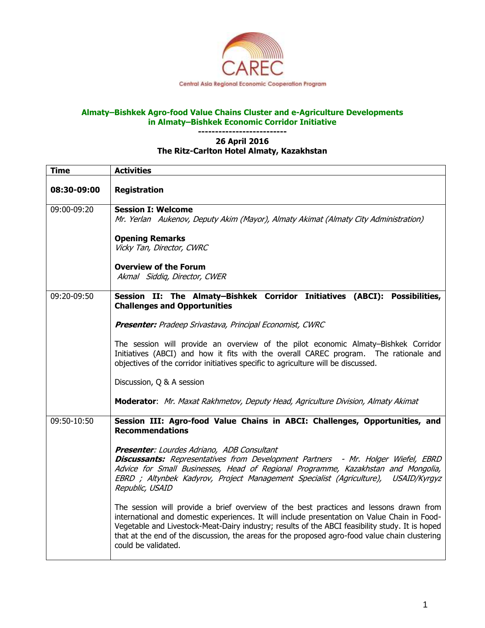

## **Almaty–Bishkek Agro-food Value Chains Cluster and e-Agriculture Developments in Almaty–Bishkek Economic Corridor Initiative**

## **-------------------------- 26 April 2016 The Ritz-Carlton Hotel Almaty, Kazakhstan**

| <b>Time</b> | <b>Activities</b>                                                                                                                                                                                                                                                                                                                                                                                                  |
|-------------|--------------------------------------------------------------------------------------------------------------------------------------------------------------------------------------------------------------------------------------------------------------------------------------------------------------------------------------------------------------------------------------------------------------------|
| 08:30-09:00 | <b>Registration</b>                                                                                                                                                                                                                                                                                                                                                                                                |
| 09:00-09:20 | <b>Session I: Welcome</b><br>Mr. Yerlan Aukenov, Deputy Akim (Mayor), Almaty Akimat (Almaty City Administration)                                                                                                                                                                                                                                                                                                   |
|             | <b>Opening Remarks</b><br>Vicky Tan, Director, CWRC                                                                                                                                                                                                                                                                                                                                                                |
|             | <b>Overview of the Forum</b><br>Akmal Siddiq, Director, CWER                                                                                                                                                                                                                                                                                                                                                       |
| 09:20-09:50 | Session II: The Almaty-Bishkek Corridor Initiatives (ABCI): Possibilities,<br><b>Challenges and Opportunities</b>                                                                                                                                                                                                                                                                                                  |
|             | <b>Presenter:</b> Pradeep Srivastava, Principal Economist, CWRC                                                                                                                                                                                                                                                                                                                                                    |
|             | The session will provide an overview of the pilot economic Almaty-Bishkek Corridor<br>Initiatives (ABCI) and how it fits with the overall CAREC program. The rationale and<br>objectives of the corridor initiatives specific to agriculture will be discussed.                                                                                                                                                    |
|             | Discussion, Q & A session                                                                                                                                                                                                                                                                                                                                                                                          |
|             | Moderator: Mr. Maxat Rakhmetov, Deputy Head, Agriculture Division, Almaty Akimat                                                                                                                                                                                                                                                                                                                                   |
| 09:50-10:50 | Session III: Agro-food Value Chains in ABCI: Challenges, Opportunities, and<br><b>Recommendations</b>                                                                                                                                                                                                                                                                                                              |
|             | Presenter: Lourdes Adriano, ADB Consultant<br>Discussants: Representatives from Development Partners - Mr. Holger Wiefel, EBRD<br>Advice for Small Businesses, Head of Regional Programme, Kazakhstan and Mongolia,<br>EBRD; Altynbek Kadyrov, Project Management Specialist (Agriculture), USAID/Kyrgyz<br>Republic, USAID                                                                                        |
|             | The session will provide a brief overview of the best practices and lessons drawn from<br>international and domestic experiences. It will include presentation on Value Chain in Food-<br>Vegetable and Livestock-Meat-Dairy industry; results of the ABCI feasibility study. It is hoped<br>that at the end of the discussion, the areas for the proposed agro-food value chain clustering<br>could be validated. |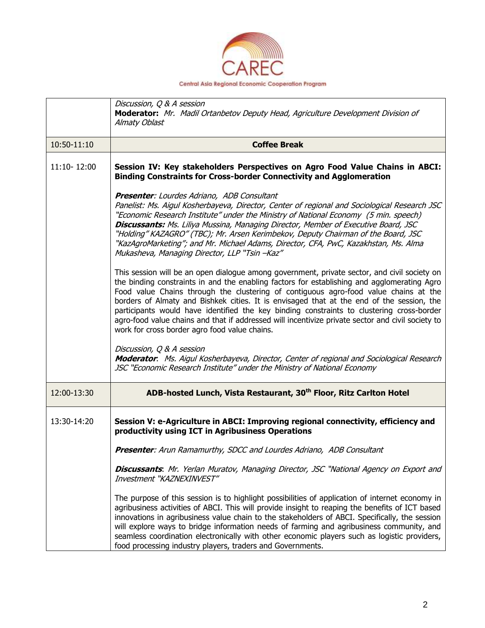

|             | Discussion, Q & A session<br>Moderator: Mr. Madil Ortanbetov Deputy Head, Agriculture Development Division of<br>Almaty Oblast                                                                                                                                                                                                                                                                                                                                                                                                                                                                                                      |
|-------------|-------------------------------------------------------------------------------------------------------------------------------------------------------------------------------------------------------------------------------------------------------------------------------------------------------------------------------------------------------------------------------------------------------------------------------------------------------------------------------------------------------------------------------------------------------------------------------------------------------------------------------------|
| 10:50-11:10 | <b>Coffee Break</b>                                                                                                                                                                                                                                                                                                                                                                                                                                                                                                                                                                                                                 |
| 11:10-12:00 | Session IV: Key stakeholders Perspectives on Agro Food Value Chains in ABCI:<br><b>Binding Constraints for Cross-border Connectivity and Agglomeration</b>                                                                                                                                                                                                                                                                                                                                                                                                                                                                          |
|             | <b>Presenter:</b> Lourdes Adriano, ADB Consultant<br>Panelist: Ms. Aigul Kosherbayeva, Director, Center of regional and Sociological Research JSC<br>"Economic Research Institute" under the Ministry of National Economy (5 min. speech)<br>Discussants: Ms. Liliya Mussina, Managing Director, Member of Executive Board, JSC<br>"Holding" KAZAGRO" (TBC); Mr. Arsen Kerimbekov, Deputy Chairman of the Board, JSC<br>"KazAgroMarketing"; and Mr. Michael Adams, Director, CFA, PwC, Kazakhstan, Ms. Alma<br>Mukasheva, Managing Director, LLP "Tsin -Kaz"                                                                        |
|             | This session will be an open dialogue among government, private sector, and civil society on<br>the binding constraints in and the enabling factors for establishing and agglomerating Agro<br>Food value Chains through the clustering of contiguous agro-food value chains at the<br>borders of Almaty and Bishkek cities. It is envisaged that at the end of the session, the<br>participants would have identified the key binding constraints to clustering cross-border<br>agro-food value chains and that if addressed will incentivize private sector and civil society to<br>work for cross border agro food value chains. |
|             | Discussion, Q & A session<br>Moderator. Ms. Aigul Kosherbayeva, Director, Center of regional and Sociological Research<br>JSC "Economic Research Institute" under the Ministry of National Economy                                                                                                                                                                                                                                                                                                                                                                                                                                  |
| 12:00-13:30 | ADB-hosted Lunch, Vista Restaurant, 30 <sup>th</sup> Floor, Ritz Carlton Hotel                                                                                                                                                                                                                                                                                                                                                                                                                                                                                                                                                      |
| 13:30-14:20 | Session V: e-Agriculture in ABCI: Improving regional connectivity, efficiency and<br>productivity using ICT in Agribusiness Operations                                                                                                                                                                                                                                                                                                                                                                                                                                                                                              |
|             | Presenter: Arun Ramamurthy, SDCC and Lourdes Adriano, ADB Consultant                                                                                                                                                                                                                                                                                                                                                                                                                                                                                                                                                                |
|             | Discussants: Mr. Yerlan Muratov, Managing Director, JSC "National Agency on Export and<br>Investment "KAZNEXINVEST"                                                                                                                                                                                                                                                                                                                                                                                                                                                                                                                 |
|             | The purpose of this session is to highlight possibilities of application of internet economy in<br>agribusiness activities of ABCI. This will provide insight to reaping the benefits of ICT based<br>innovations in agribusiness value chain to the stakeholders of ABCI. Specifically, the session<br>will explore ways to bridge information needs of farming and agribusiness community, and<br>seamless coordination electronically with other economic players such as logistic providers,<br>food processing industry players, traders and Governments.                                                                      |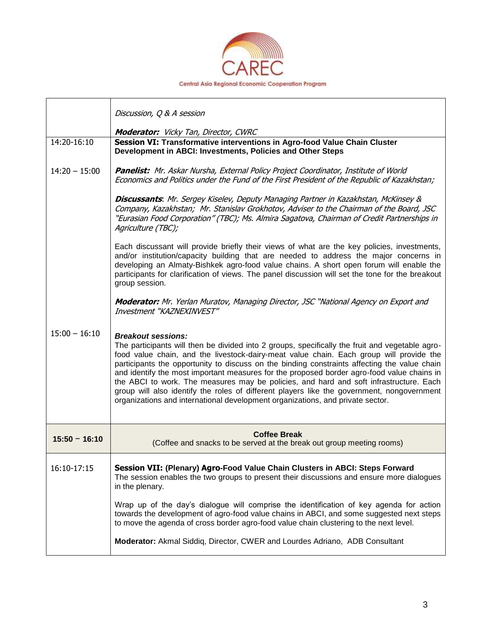

|                 | Discussion, Q & A session                                                                                                                                                                                                                                                                                                                                                                                                                                                                                                                                                                                                                                                                       |
|-----------------|-------------------------------------------------------------------------------------------------------------------------------------------------------------------------------------------------------------------------------------------------------------------------------------------------------------------------------------------------------------------------------------------------------------------------------------------------------------------------------------------------------------------------------------------------------------------------------------------------------------------------------------------------------------------------------------------------|
| 14:20-16:10     | <b>Moderator:</b> Vicky Tan, Director, CWRC<br>Session VI: Transformative interventions in Agro-food Value Chain Cluster                                                                                                                                                                                                                                                                                                                                                                                                                                                                                                                                                                        |
|                 | Development in ABCI: Investments, Policies and Other Steps                                                                                                                                                                                                                                                                                                                                                                                                                                                                                                                                                                                                                                      |
| $14:20 - 15:00$ | Panelist: Mr. Askar Nursha, External Policy Project Coordinator, Institute of World<br>Economics and Politics under the Fund of the First President of the Republic of Kazakhstan;                                                                                                                                                                                                                                                                                                                                                                                                                                                                                                              |
|                 | <b>Discussants:</b> Mr. Sergey Kiselev, Deputy Managing Partner in Kazakhstan, McKinsey &<br>Company, Kazakhstan; Mr. Stanislav Grokhotov, Adviser to the Chairman of the Board, JSC<br>"Eurasian Food Corporation" (TBC); Ms. Almira Sagatova, Chairman of Credit Partnerships in<br>Agriculture (TBC);                                                                                                                                                                                                                                                                                                                                                                                        |
|                 | Each discussant will provide briefly their views of what are the key policies, investments,<br>and/or institution/capacity building that are needed to address the major concerns in<br>developing an Almaty-Bishkek agro-food value chains. A short open forum will enable the<br>participants for clarification of views. The panel discussion will set the tone for the breakout<br>group session.                                                                                                                                                                                                                                                                                           |
|                 | <b>Moderator:</b> Mr. Yerlan Muratov, Managing Director, JSC "National Agency on Export and<br>Investment "KAZNEXINVEST"                                                                                                                                                                                                                                                                                                                                                                                                                                                                                                                                                                        |
| $15:00 - 16:10$ | <b>Breakout sessions:</b><br>The participants will then be divided into 2 groups, specifically the fruit and vegetable agro-<br>food value chain, and the livestock-dairy-meat value chain. Each group will provide the<br>participants the opportunity to discuss on the binding constraints affecting the value chain<br>and identify the most important measures for the proposed border agro-food value chains in<br>the ABCI to work. The measures may be policies, and hard and soft infrastructure. Each<br>group will also identify the roles of different players like the government, nongovernment<br>organizations and international development organizations, and private sector. |
| $15:50 - 16:10$ | <b>Coffee Break</b><br>(Coffee and snacks to be served at the break out group meeting rooms)                                                                                                                                                                                                                                                                                                                                                                                                                                                                                                                                                                                                    |
| 16:10-17:15     | Session VII: (Plenary) Agro-Food Value Chain Clusters in ABCI: Steps Forward<br>The session enables the two groups to present their discussions and ensure more dialogues<br>in the plenary.                                                                                                                                                                                                                                                                                                                                                                                                                                                                                                    |
|                 | Wrap up of the day's dialogue will comprise the identification of key agenda for action<br>towards the development of agro-food value chains in ABCI, and some suggested next steps<br>to move the agenda of cross border agro-food value chain clustering to the next level.                                                                                                                                                                                                                                                                                                                                                                                                                   |
|                 | Moderator: Akmal Siddiq, Director, CWER and Lourdes Adriano, ADB Consultant                                                                                                                                                                                                                                                                                                                                                                                                                                                                                                                                                                                                                     |